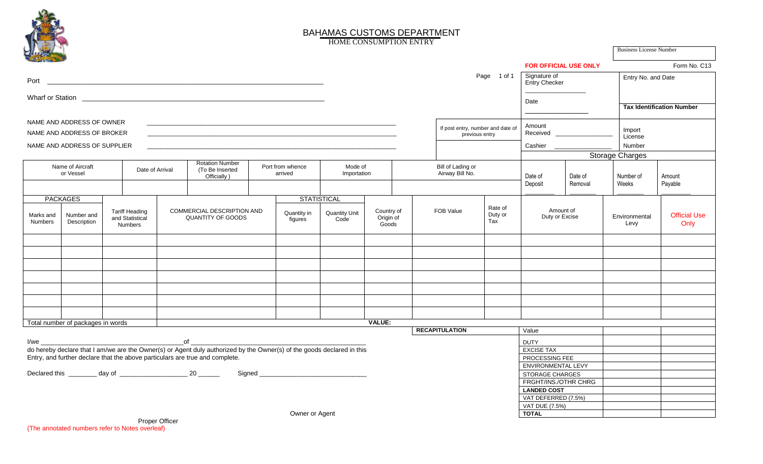

## BAHAMAS CUSTOMS DEPARTMENT

Business License Number

HOME CONSUMPTION ENTRY

|                                                                                                                                                                                                                                      |                                   |                        |                                                     |  |                                                                                                                        |  |                             |                              |                                                     |  |                  |                                      |                                      | <b>FOR OFFICIAL USE ONLY</b>                 |         |                        | Form No. C13                     |                             |  |
|--------------------------------------------------------------------------------------------------------------------------------------------------------------------------------------------------------------------------------------|-----------------------------------|------------------------|-----------------------------------------------------|--|------------------------------------------------------------------------------------------------------------------------|--|-----------------------------|------------------------------|-----------------------------------------------------|--|------------------|--------------------------------------|--------------------------------------|----------------------------------------------|---------|------------------------|----------------------------------|-----------------------------|--|
|                                                                                                                                                                                                                                      |                                   |                        |                                                     |  |                                                                                                                        |  |                             | Page 1 of 1                  |                                                     |  |                  |                                      | Signature of<br><b>Entry Checker</b> |                                              |         | Entry No. and Date     |                                  |                             |  |
| Wharf or Station <b>contract the contract of the contract of the contract of the contract of the contract of the contract of the contract of the contract of the contract of the contract of the contract of the contract of the</b> |                                   |                        |                                                     |  |                                                                                                                        |  |                             |                              |                                                     |  |                  |                                      |                                      |                                              |         |                        |                                  |                             |  |
|                                                                                                                                                                                                                                      |                                   |                        |                                                     |  |                                                                                                                        |  |                             |                              |                                                     |  |                  |                                      |                                      | Date                                         |         |                        | <b>Tax Identification Number</b> |                             |  |
| NAME AND ADDRESS OF OWNER                                                                                                                                                                                                            |                                   |                        |                                                     |  |                                                                                                                        |  |                             |                              |                                                     |  |                  |                                      |                                      |                                              |         |                        |                                  |                             |  |
| NAME AND ADDRESS OF BROKER                                                                                                                                                                                                           |                                   |                        |                                                     |  |                                                                                                                        |  |                             |                              | If post entry, number and date of<br>previous entry |  |                  |                                      |                                      | Amount<br>Received _______                   |         | Import<br>License      |                                  |                             |  |
|                                                                                                                                                                                                                                      | NAME AND ADDRESS OF SUPPLIER      |                        |                                                     |  |                                                                                                                        |  |                             |                              |                                                     |  |                  |                                      | Cashier ________                     |                                              | Number  |                        |                                  |                             |  |
|                                                                                                                                                                                                                                      |                                   |                        |                                                     |  |                                                                                                                        |  |                             |                              |                                                     |  |                  |                                      |                                      |                                              |         | <b>Storage Charges</b> |                                  |                             |  |
| Name of Aircraft<br>or Vessel                                                                                                                                                                                                        |                                   |                        | Date of Arrival                                     |  | <b>Rotation Number</b><br>(To Be Inserted<br>Officially)                                                               |  | Port from whence<br>arrived | Mode of<br>Importation       |                                                     |  |                  | Bill of Lading or<br>Airway Bill No. |                                      | Date of                                      | Date of | Number of              |                                  | Amount                      |  |
|                                                                                                                                                                                                                                      |                                   |                        |                                                     |  |                                                                                                                        |  |                             |                              |                                                     |  |                  |                                      |                                      | Deposit                                      | Removal | Weeks                  |                                  | Payable                     |  |
| <b>PACKAGES</b>                                                                                                                                                                                                                      |                                   |                        |                                                     |  |                                                                                                                        |  | <b>STATISTICAL</b>          |                              |                                                     |  |                  |                                      |                                      |                                              |         |                        |                                  |                             |  |
| Marks and<br>Numbers                                                                                                                                                                                                                 | Number and<br>Description         |                        | <b>Tariff Heading</b><br>and Statistical<br>Numbers |  | COMMERCIAL DESCRIPTION AND<br><b>QUANTITY OF GOODS</b>                                                                 |  | Quantity in<br>figures      | <b>Quantity Unit</b><br>Code | Country of<br>Origin of<br>Goods                    |  | <b>FOB Value</b> |                                      | Rate of<br>Duty or<br>Tax            | Amount of<br>Duty or Excise                  |         | Environmental<br>Levy  |                                  | <b>Official Use</b><br>Only |  |
|                                                                                                                                                                                                                                      |                                   |                        |                                                     |  |                                                                                                                        |  |                             |                              |                                                     |  |                  |                                      |                                      |                                              |         |                        |                                  |                             |  |
|                                                                                                                                                                                                                                      |                                   |                        |                                                     |  |                                                                                                                        |  |                             |                              |                                                     |  |                  |                                      |                                      |                                              |         |                        |                                  |                             |  |
|                                                                                                                                                                                                                                      |                                   |                        |                                                     |  |                                                                                                                        |  |                             |                              |                                                     |  |                  |                                      |                                      |                                              |         |                        |                                  |                             |  |
|                                                                                                                                                                                                                                      |                                   |                        |                                                     |  |                                                                                                                        |  |                             |                              |                                                     |  |                  |                                      |                                      |                                              |         |                        |                                  |                             |  |
|                                                                                                                                                                                                                                      |                                   |                        |                                                     |  |                                                                                                                        |  |                             |                              |                                                     |  |                  |                                      |                                      |                                              |         |                        |                                  |                             |  |
|                                                                                                                                                                                                                                      |                                   |                        |                                                     |  |                                                                                                                        |  |                             |                              |                                                     |  |                  |                                      |                                      |                                              |         |                        |                                  |                             |  |
|                                                                                                                                                                                                                                      |                                   |                        |                                                     |  |                                                                                                                        |  |                             |                              |                                                     |  |                  |                                      |                                      |                                              |         |                        |                                  |                             |  |
|                                                                                                                                                                                                                                      | Total number of packages in words |                        |                                                     |  |                                                                                                                        |  |                             |                              | <b>VALUE:</b>                                       |  |                  |                                      |                                      |                                              |         |                        |                                  |                             |  |
|                                                                                                                                                                                                                                      |                                   |                        |                                                     |  |                                                                                                                        |  |                             |                              |                                                     |  |                  | <b>RECAPITULATION</b>                |                                      | Value                                        |         |                        |                                  |                             |  |
|                                                                                                                                                                                                                                      |                                   | $\overline{\text{of}}$ |                                                     |  |                                                                                                                        |  |                             |                              |                                                     |  |                  |                                      | <b>DUTY</b>                          |                                              |         |                        |                                  |                             |  |
|                                                                                                                                                                                                                                      |                                   |                        |                                                     |  | do hereby declare that I am/we are the Owner(s) or Agent duly authorized by the Owner(s) of the goods declared in this |  |                             |                              |                                                     |  |                  |                                      |                                      | <b>EXCISE TAX</b>                            |         |                        |                                  |                             |  |
|                                                                                                                                                                                                                                      |                                   |                        |                                                     |  | Entry, and further declare that the above particulars are true and complete.                                           |  |                             |                              |                                                     |  |                  |                                      |                                      | PROCESSING FEE                               |         |                        |                                  |                             |  |
|                                                                                                                                                                                                                                      |                                   |                        |                                                     |  |                                                                                                                        |  |                             |                              |                                                     |  |                  |                                      |                                      | ENVIRONMENTAL LEVY<br><b>STORAGE CHARGES</b> |         |                        |                                  |                             |  |
|                                                                                                                                                                                                                                      |                                   |                        |                                                     |  |                                                                                                                        |  |                             |                              |                                                     |  |                  |                                      |                                      | FRGHT/INS./OTHR CHRG                         |         |                        |                                  |                             |  |
|                                                                                                                                                                                                                                      |                                   |                        |                                                     |  |                                                                                                                        |  |                             |                              |                                                     |  |                  | <b>LANDED COST</b>                   |                                      |                                              |         |                        |                                  |                             |  |
|                                                                                                                                                                                                                                      |                                   |                        |                                                     |  |                                                                                                                        |  |                             |                              |                                                     |  |                  | VAT DEFERRED (7.5%)                  |                                      |                                              |         |                        |                                  |                             |  |
|                                                                                                                                                                                                                                      |                                   |                        |                                                     |  |                                                                                                                        |  |                             |                              |                                                     |  |                  | VAT DUE (7.5%)                       |                                      |                                              |         |                        |                                  |                             |  |
|                                                                                                                                                                                                                                      |                                   |                        |                                                     |  |                                                                                                                        |  | Owner or Agent              |                              |                                                     |  |                  |                                      |                                      | <b>TOTAL</b>                                 |         |                        |                                  |                             |  |

 Proper Officer (The annotated numbers refer to Notes overleaf)